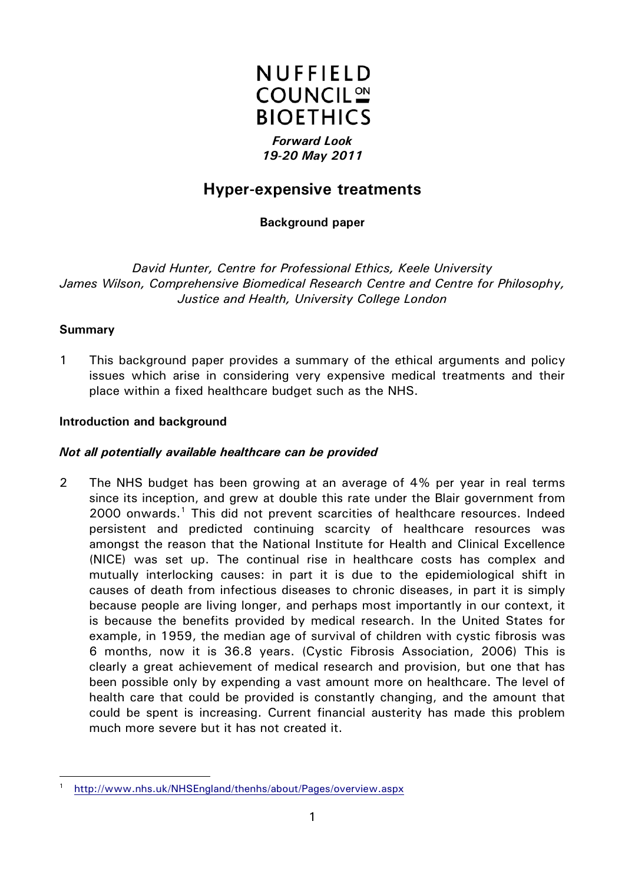

# *19-20 May 2011*

# **Hyper-expensive treatments**

**Background paper**

*David Hunter, Centre for Professional Ethics, Keele University James Wilson, Comprehensive Biomedical Research Centre and Centre for Philosophy, Justice and Health, University College London*

# **Summary**

-

1 This background paper provides a summary of the ethical arguments and policy issues which arise in considering very expensive medical treatments and their place within a fixed healthcare budget such as the NHS.

#### **Introduction and background**

#### *Not all potentially available healthcare can be provided*

2 The NHS budget has been growing at an average of 4% per year in real terms since its inception, and grew at double this rate under the Blair government from  $2000$  onwards.<sup>[1](#page-0-0)</sup> This did not prevent scarcities of healthcare resources. Indeed persistent and predicted continuing scarcity of healthcare resources was amongst the reason that the National Institute for Health and Clinical Excellence (NICE) was set up. The continual rise in healthcare costs has complex and mutually interlocking causes: in part it is due to the epidemiological shift in causes of death from infectious diseases to chronic diseases, in part it is simply because people are living longer, and perhaps most importantly in our context, it is because the benefits provided by medical research. In the United States for example, in 1959, the median age of survival of children with cystic fibrosis was 6 months, now it is 36.8 years. (Cystic Fibrosis Association, 2006) This is clearly a great achievement of medical research and provision, but one that has been possible only by expending a vast amount more on healthcare. The level of health care that could be provided is constantly changing, and the amount that could be spent is increasing. Current financial austerity has made this problem much more severe but it has not created it.

<span id="page-0-0"></span><sup>1</sup> <http://www.nhs.uk/NHSEngland/thenhs/about/Pages/overview.aspx>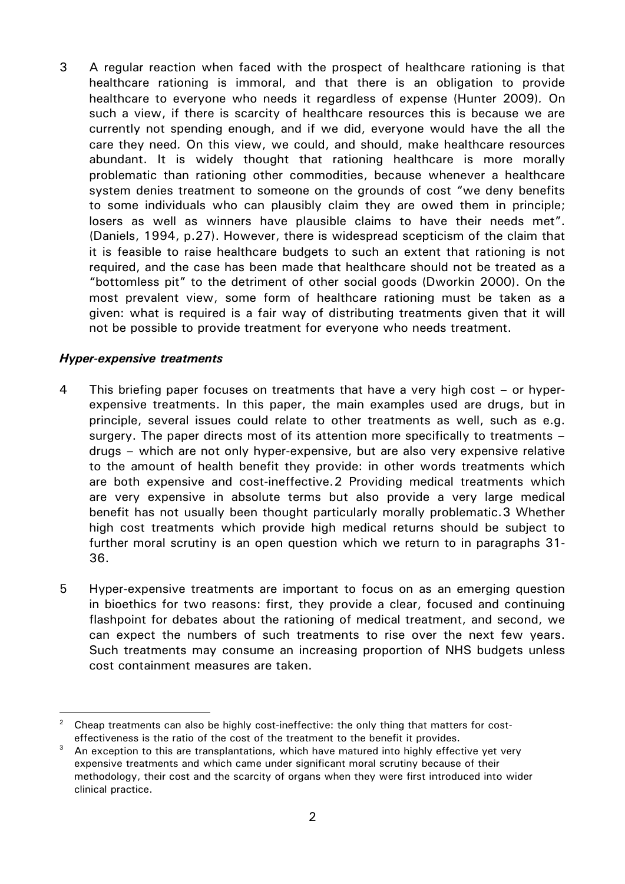3 A regular reaction when faced with the prospect of healthcare rationing is that healthcare rationing is immoral, and that there is an obligation to provide healthcare to everyone who needs it regardless of expense (Hunter 2009)*.* On such a view, if there is scarcity of healthcare resources this is because we are currently not spending enough, and if we did, everyone would have the all the care they need*.* On this view, we could, and should, make healthcare resources abundant. It is widely thought that rationing healthcare is more morally problematic than rationing other commodities, because whenever a healthcare system denies treatment to someone on the grounds of cost "we deny benefits to some individuals who can plausibly claim they are owed them in principle; losers as well as winners have plausible claims to have their needs met". (Daniels, 1994, p.27). However, there is widespread scepticism of the claim that it is feasible to raise healthcare budgets to such an extent that rationing is not required, and the case has been made that healthcare should not be treated as a "bottomless pit" to the detriment of other social goods (Dworkin 2000). On the most prevalent view, some form of healthcare rationing must be taken as a given: what is required is a fair way of distributing treatments given that it will not be possible to provide treatment for everyone who needs treatment.

#### *Hyper-expensive treatments*

<u>.</u>

- 4 This briefing paper focuses on treatments that have a very high cost or hyperexpensive treatments. In this paper, the main examples used are drugs, but in principle, several issues could relate to other treatments as well, such as e.g. surgery. The paper directs most of its attention more specifically to treatments – drugs – which are not only hyper-expensive, but are also very expensive relative to the amount of health benefit they provide: in other words treatments which are both expensive and cost-ineffective.[2](#page-1-0) Providing medical treatments which are very expensive in absolute terms but also provide a very large medical benefit has not usually been thought particularly morally problematic.[3](#page-1-1) Whether high cost treatments which provide high medical returns should be subject to further moral scrutiny is an open question which we return to in paragraphs 31- 36.
- 5 Hyper-expensive treatments are important to focus on as an emerging question in bioethics for two reasons: first, they provide a clear, focused and continuing flashpoint for debates about the rationing of medical treatment, and second, we can expect the numbers of such treatments to rise over the next few years. Such treatments may consume an increasing proportion of NHS budgets unless cost containment measures are taken.

<span id="page-1-0"></span> $2$  Cheap treatments can also be highly cost-ineffective: the only thing that matters for costeffectiveness is the ratio of the cost of the treatment to the benefit it provides.

<span id="page-1-1"></span>An exception to this are transplantations, which have matured into highly effective yet very expensive treatments and which came under significant moral scrutiny because of their methodology, their cost and the scarcity of organs when they were first introduced into wider clinical practice.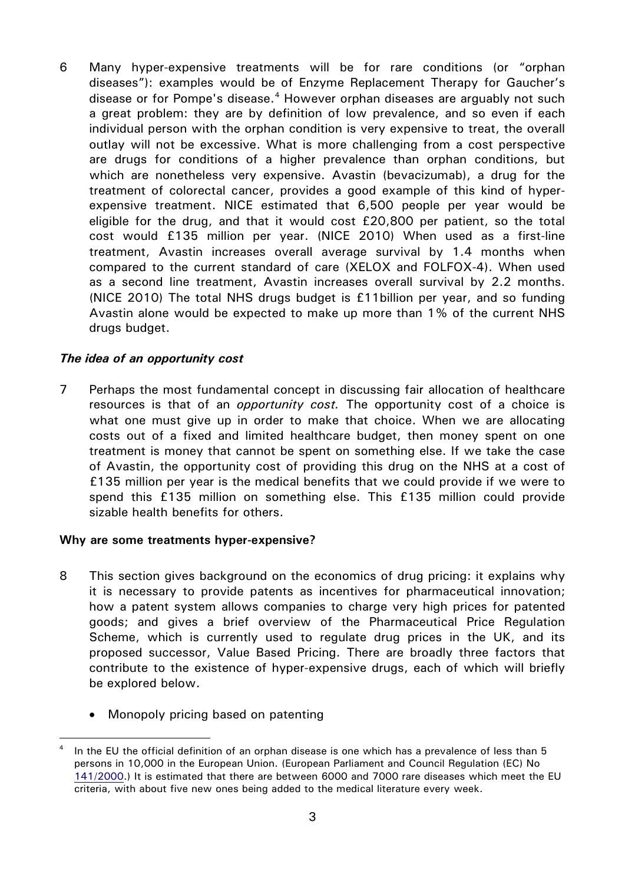6 Many hyper-expensive treatments will be for rare conditions (or "orphan diseases"): examples would be of Enzyme Replacement Therapy for Gaucher's disease or for Pompe's disease. $4$  However orphan diseases are arguably not such a great problem: they are by definition of low prevalence, and so even if each individual person with the orphan condition is very expensive to treat, the overall outlay will not be excessive. What is more challenging from a cost perspective are drugs for conditions of a higher prevalence than orphan conditions, but which are nonetheless very expensive. Avastin (bevacizumab), a drug for the treatment of colorectal cancer, provides a good example of this kind of hyperexpensive treatment. NICE estimated that 6,500 people per year would be eligible for the drug, and that it would cost £20,800 per patient, so the total cost would £135 million per year. (NICE 2010) When used as a first-line treatment, Avastin increases overall average survival by 1.4 months when compared to the current standard of care (XELOX and FOLFOX-4). When used as a second line treatment, Avastin increases overall survival by 2.2 months. (NICE 2010) The total NHS drugs budget is £11billion per year, and so funding Avastin alone would be expected to make up more than 1% of the current NHS drugs budget.

#### *The idea of an opportunity cost*

7 Perhaps the most fundamental concept in discussing fair allocation of healthcare resources is that of an *opportunity cost.* The opportunity cost of a choice is what one must give up in order to make that choice. When we are allocating costs out of a fixed and limited healthcare budget, then money spent on one treatment is money that cannot be spent on something else. If we take the case of Avastin, the opportunity cost of providing this drug on the NHS at a cost of £135 million per year is the medical benefits that we could provide if we were to spend this £135 million on something else. This £135 million could provide sizable health benefits for others.

#### **Why are some treatments hyper-expensive?**

- 8 This section gives background on the economics of drug pricing: it explains why it is necessary to provide patents as incentives for pharmaceutical innovation; how a patent system allows companies to charge very high prices for patented goods; and gives a brief overview of the Pharmaceutical Price Regulation Scheme, which is currently used to regulate drug prices in the UK, and its proposed successor, Value Based Pricing. There are broadly three factors that contribute to the existence of hyper-expensive drugs, each of which will briefly be explored below.
	- Monopoly pricing based on patenting

<span id="page-2-0"></span><sup>&</sup>lt;u>.</u> In the EU the official definition of an orphan disease is one which has a prevalence of less than 5 persons in 10,000 in the European Union. (European Parliament and Council Regulation (EC) No [141/2000.](http://eur-lex.europa.eu/LexUriServ/LexUriServ.do?uri=CELEX:32000R0141:EN:NOT#_blank)) It is estimated that there are between 6000 and 7000 rare diseases which meet the EU criteria, with about five new ones being added to the medical literature every week.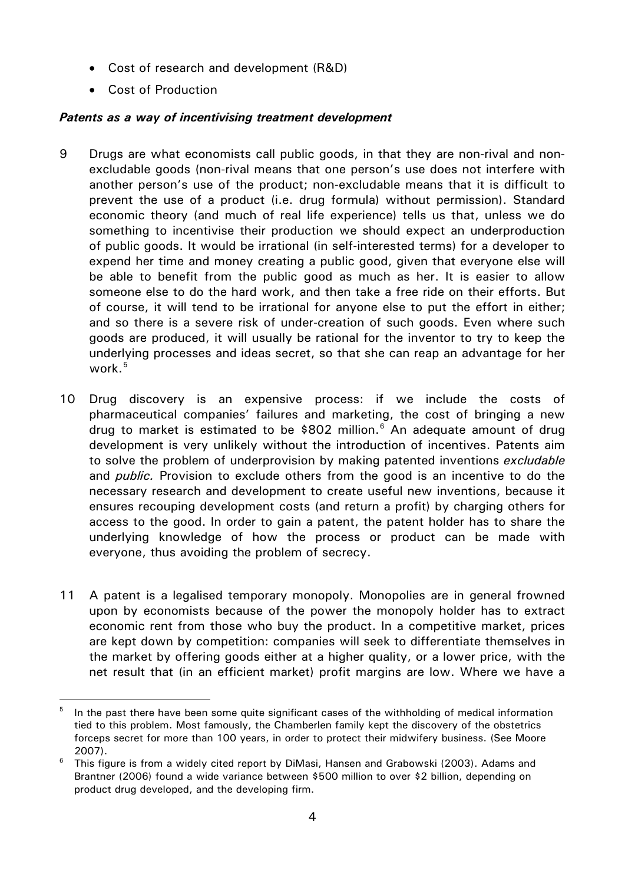- Cost of research and development (R&D)
- Cost of Production

-

## *Patents as a way of incentivising treatment development*

- 9 Drugs are what economists call public goods, in that they are non-rival and nonexcludable goods (non-rival means that one person's use does not interfere with another person's use of the product; non-excludable means that it is difficult to prevent the use of a product (i.e. drug formula) without permission). Standard economic theory (and much of real life experience) tells us that, unless we do something to incentivise their production we should expect an underproduction of public goods. It would be irrational (in self-interested terms) for a developer to expend her time and money creating a public good, given that everyone else will be able to benefit from the public good as much as her. It is easier to allow someone else to do the hard work, and then take a free ride on their efforts. But of course, it will tend to be irrational for anyone else to put the effort in either; and so there is a severe risk of under-creation of such goods. Even where such goods are produced, it will usually be rational for the inventor to try to keep the underlying processes and ideas secret, so that she can reap an advantage for her work. $5$
- 10 Drug discovery is an expensive process: if we include the costs of pharmaceutical companies' failures and marketing, the cost of bringing a new drug to market is estimated to be \$802 million. $6$  An adequate amount of drug development is very unlikely without the introduction of incentives. Patents aim to solve the problem of underprovision by making patented inventions *excludable* and *public.* Provision to exclude others from the good is an incentive to do the necessary research and development to create useful new inventions, because it ensures recouping development costs (and return a profit) by charging others for access to the good. In order to gain a patent, the patent holder has to share the underlying knowledge of how the process or product can be made with everyone, thus avoiding the problem of secrecy.
- 11 A patent is a legalised temporary monopoly. Monopolies are in general frowned upon by economists because of the power the monopoly holder has to extract economic rent from those who buy the product. In a competitive market, prices are kept down by competition: companies will seek to differentiate themselves in the market by offering goods either at a higher quality, or a lower price, with the net result that (in an efficient market) profit margins are low. Where we have a

<span id="page-3-0"></span>In the past there have been some quite significant cases of the withholding of medical information tied to this problem. Most famously, the Chamberlen family kept the discovery of the obstetrics forceps secret for more than 100 years, in order to protect their midwifery business. (See Moore 2007).

<span id="page-3-1"></span> $6$  This figure is from a widely cited report by DiMasi, Hansen and Grabowski (2003). Adams and Brantner (2006) found a wide variance between \$500 million to over \$2 billion, depending on product drug developed, and the developing firm.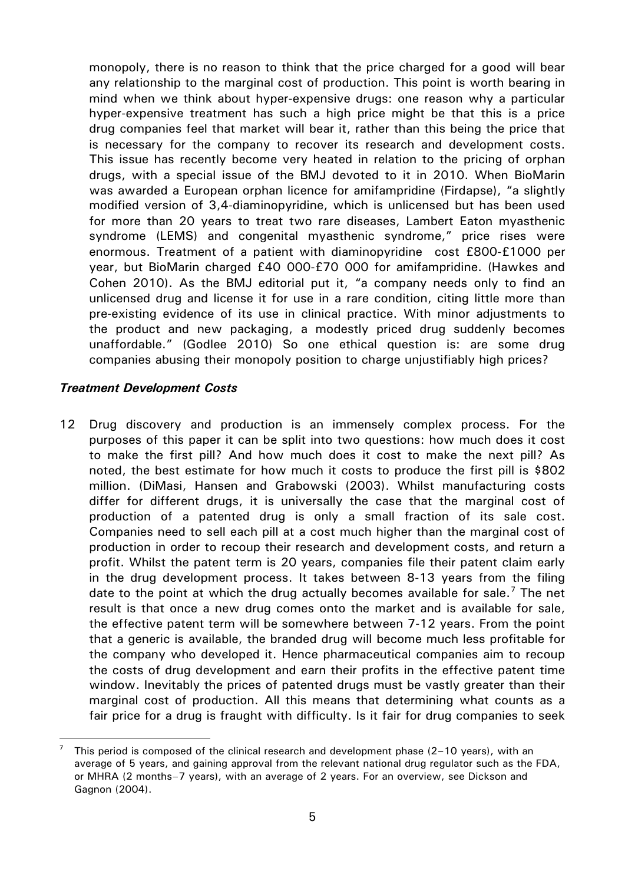monopoly, there is no reason to think that the price charged for a good will bear any relationship to the marginal cost of production. This point is worth bearing in mind when we think about hyper-expensive drugs: one reason why a particular hyper-expensive treatment has such a high price might be that this is a price drug companies feel that market will bear it, rather than this being the price that is necessary for the company to recover its research and development costs. This issue has recently become very heated in relation to the pricing of orphan drugs, with a special issue of the BMJ devoted to it in 2010. When BioMarin was awarded a European orphan licence for amifampridine (Firdapse), "a slightly modified version of 3,4-diaminopyridine, which is unlicensed but has been used for more than 20 years to treat two rare diseases, Lambert Eaton myasthenic syndrome (LEMS) and congenital myasthenic syndrome," price rises were enormous. Treatment of a patient with diaminopyridine cost £800-£1000 per year, but BioMarin charged £40 000-£70 000 for amifampridine. (Hawkes and Cohen 2010). As the BMJ editorial put it, "a company needs only to find an unlicensed drug and license it for use in a rare condition, citing little more than pre-existing evidence of its use in clinical practice. With minor adjustments to the product and new packaging, a modestly priced drug suddenly becomes unaffordable." (Godlee 2010) So one ethical question is: are some drug companies abusing their monopoly position to charge unjustifiably high prices?

#### *Treatment Development Costs*

<u>.</u>

12 Drug discovery and production is an immensely complex process. For the purposes of this paper it can be split into two questions: how much does it cost to make the first pill? And how much does it cost to make the next pill? As noted, the best estimate for how much it costs to produce the first pill is \$802 million. (DiMasi, Hansen and Grabowski (2003). Whilst manufacturing costs differ for different drugs, it is universally the case that the marginal cost of production of a patented drug is only a small fraction of its sale cost. Companies need to sell each pill at a cost much higher than the marginal cost of production in order to recoup their research and development costs, and return a profit. Whilst the patent term is 20 years, companies file their patent claim early in the drug development process. It takes between 8-13 years from the filing date to the point at which the drug actually becomes available for sale.<sup>[7](#page-4-0)</sup> The net result is that once a new drug comes onto the market and is available for sale, the effective patent term will be somewhere between 7-12 years. From the point that a generic is available, the branded drug will become much less profitable for the company who developed it. Hence pharmaceutical companies aim to recoup the costs of drug development and earn their profits in the effective patent time window. Inevitably the prices of patented drugs must be vastly greater than their marginal cost of production. All this means that determining what counts as a fair price for a drug is fraught with difficulty. Is it fair for drug companies to seek

<span id="page-4-0"></span><sup>7</sup> This period is composed of the clinical research and development phase (2–10 years), with an average of 5 years, and gaining approval from the relevant national drug regulator such as the FDA, or MHRA (2 months–7 years), with an average of 2 years. For an overview, see Dickson and Gagnon (2004).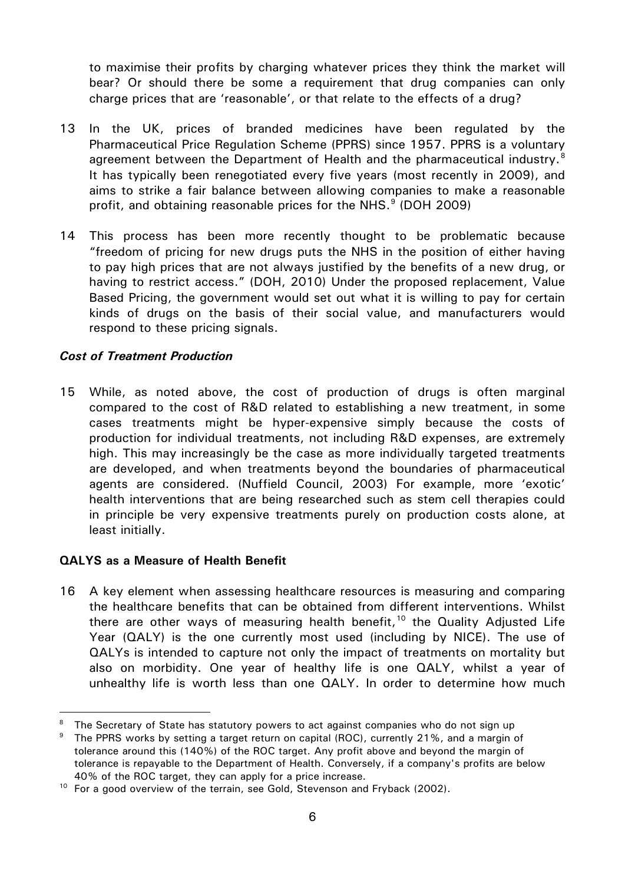to maximise their profits by charging whatever prices they think the market will bear? Or should there be some a requirement that drug companies can only charge prices that are 'reasonable', or that relate to the effects of a drug?

- 13 In the UK, prices of branded medicines have been regulated by the Pharmaceutical Price Regulation Scheme (PPRS) since 1957. PPRS is a voluntary agreement between the Department of Health and the pharmaceutical industry.<sup>[8](#page-5-0)</sup> It has typically been renegotiated every five years (most recently in 2009), and aims to strike a fair balance between allowing companies to make a reasonable profit, and obtaining reasonable prices for the NHS.<sup>[9](#page-5-1)</sup> (DOH 2009)
- 14 This process has been more recently thought to be problematic because "freedom of pricing for new drugs puts the NHS in the position of either having to pay high prices that are not always justified by the benefits of a new drug, or having to restrict access." (DOH, 2010) Under the proposed replacement, Value Based Pricing, the government would set out what it is willing to pay for certain kinds of drugs on the basis of their social value, and manufacturers would respond to these pricing signals.

#### *Cost of Treatment Production*

15 While, as noted above, the cost of production of drugs is often marginal compared to the cost of R&D related to establishing a new treatment, in some cases treatments might be hyper-expensive simply because the costs of production for individual treatments, not including R&D expenses, are extremely high. This may increasingly be the case as more individually targeted treatments are developed, and when treatments beyond the boundaries of pharmaceutical agents are considered. (Nuffield Council, 2003) For example, more 'exotic' health interventions that are being researched such as stem cell therapies could in principle be very expensive treatments purely on production costs alone, at least initially.

#### **QALYS as a Measure of Health Benefit**

<u>.</u>

16 A key element when assessing healthcare resources is measuring and comparing the healthcare benefits that can be obtained from different interventions. Whilst there are other ways of measuring health benefit, $10$  the Quality Adjusted Life Year (QALY) is the one currently most used (including by NICE). The use of QALYs is intended to capture not only the impact of treatments on mortality but also on morbidity. One year of healthy life is one QALY, whilst a year of unhealthy life is worth less than one QALY. In order to determine how much

<span id="page-5-0"></span>The Secretary of State has statutory powers to act against companies who do not sign up

<span id="page-5-1"></span> $9$  The PPRS works by setting a target return on capital (ROC), currently 21%, and a margin of tolerance around this (140%) of the ROC target. Any profit above and beyond the margin of tolerance is repayable to the Department of Health. Conversely, if a company's profits are below 40% of the ROC target, they can apply for a price increase.

<span id="page-5-2"></span><sup>&</sup>lt;sup>10</sup> For a good overview of the terrain, see Gold, Stevenson and Fryback (2002).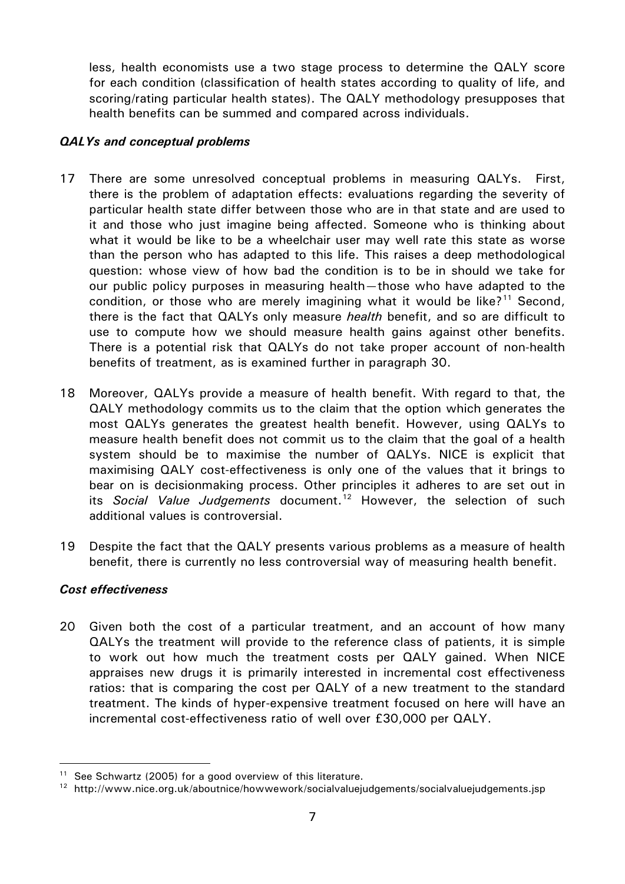less, health economists use a two stage process to determine the QALY score for each condition (classification of health states according to quality of life, and scoring/rating particular health states). The QALY methodology presupposes that health benefits can be summed and compared across individuals.

#### *QALYs and conceptual problems*

- 17 There are some unresolved conceptual problems in measuring QALYs. First, there is the problem of adaptation effects: evaluations regarding the severity of particular health state differ between those who are in that state and are used to it and those who just imagine being affected. Someone who is thinking about what it would be like to be a wheelchair user may well rate this state as worse than the person who has adapted to this life. This raises a deep methodological question: whose view of how bad the condition is to be in should we take for our public policy purposes in measuring health—those who have adapted to the condition, or those who are merely imagining what it would be like?<sup>[11](#page-6-0)</sup> Second, there is the fact that QALYs only measure *health* benefit, and so are difficult to use to compute how we should measure health gains against other benefits. There is a potential risk that QALYs do not take proper account of non-health benefits of treatment, as is examined further in paragraph 30.
- 18 Moreover, QALYs provide a measure of health benefit. With regard to that, the QALY methodology commits us to the claim that the option which generates the most QALYs generates the greatest health benefit. However, using QALYs to measure health benefit does not commit us to the claim that the goal of a health system should be to maximise the number of QALYs. NICE is explicit that maximising QALY cost-effectiveness is only one of the values that it brings to bear on is decisionmaking process. Other principles it adheres to are set out in its *Social Value Judgements* document.<sup>[12](#page-6-1)</sup> However, the selection of such additional values is controversial.
- 19 Despite the fact that the QALY presents various problems as a measure of health benefit, there is currently no less controversial way of measuring health benefit.

#### *Cost effectiveness*

<u>.</u>

20 Given both the cost of a particular treatment, and an account of how many QALYs the treatment will provide to the reference class of patients, it is simple to work out how much the treatment costs per QALY gained. When NICE appraises new drugs it is primarily interested in incremental cost effectiveness ratios: that is comparing the cost per QALY of a new treatment to the standard treatment. The kinds of hyper-expensive treatment focused on here will have an incremental cost-effectiveness ratio of well over £30,000 per QALY.

<span id="page-6-0"></span> $11$  See Schwartz (2005) for a good overview of this literature.

<span id="page-6-1"></span><sup>&</sup>lt;sup>12</sup> http://www.nice.org.uk/aboutnice/howwework/socialvaluejudgements/socialvaluejudgements.jsp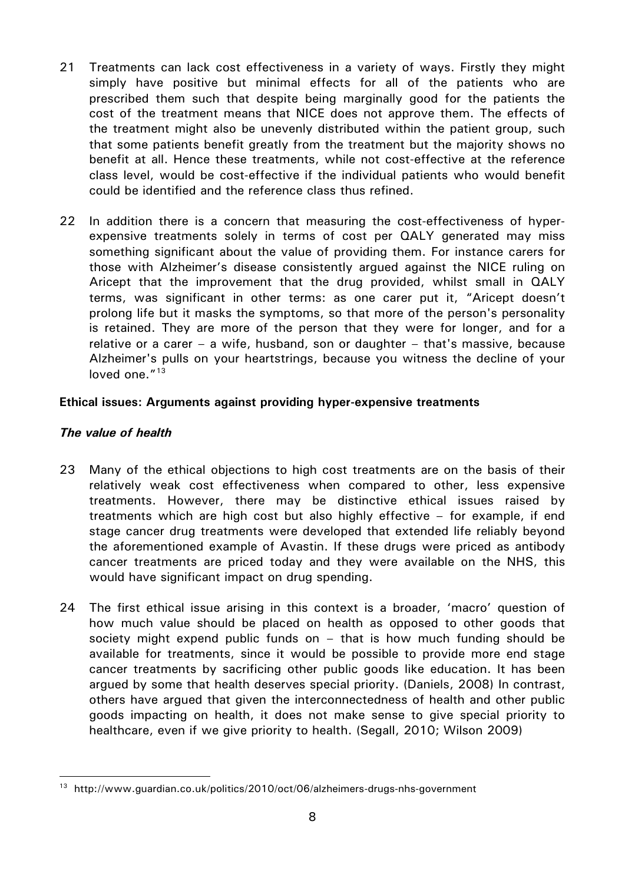- 21 Treatments can lack cost effectiveness in a variety of ways. Firstly they might simply have positive but minimal effects for all of the patients who are prescribed them such that despite being marginally good for the patients the cost of the treatment means that NICE does not approve them. The effects of the treatment might also be unevenly distributed within the patient group, such that some patients benefit greatly from the treatment but the majority shows no benefit at all. Hence these treatments, while not cost-effective at the reference class level, would be cost-effective if the individual patients who would benefit could be identified and the reference class thus refined.
- 22 In addition there is a concern that measuring the cost-effectiveness of hyperexpensive treatments solely in terms of cost per QALY generated may miss something significant about the value of providing them. For instance carers for those with Alzheimer's disease consistently argued against the NICE ruling on Aricept that the improvement that the drug provided, whilst small in QALY terms, was significant in other terms: as one carer put it, "Aricept doesn't prolong life but it masks the symptoms, so that more of the person's personality is retained. They are more of the person that they were for longer, and for a relative or a carer – a wife, husband, son or daughter – that's massive, because Alzheimer's pulls on your heartstrings, because you witness the decline of your loved one."<sup>[13](#page-7-0)</sup>

#### **Ethical issues: Arguments against providing hyper-expensive treatments**

#### *The value of health*

-

- 23 Many of the ethical objections to high cost treatments are on the basis of their relatively weak cost effectiveness when compared to other, less expensive treatments. However, there may be distinctive ethical issues raised by treatments which are high cost but also highly effective – for example, if end stage cancer drug treatments were developed that extended life reliably beyond the aforementioned example of Avastin. If these drugs were priced as antibody cancer treatments are priced today and they were available on the NHS, this would have significant impact on drug spending.
- 24 The first ethical issue arising in this context is a broader, 'macro' question of how much value should be placed on health as opposed to other goods that society might expend public funds on – that is how much funding should be available for treatments, since it would be possible to provide more end stage cancer treatments by sacrificing other public goods like education. It has been argued by some that health deserves special priority. (Daniels, 2008) In contrast, others have argued that given the interconnectedness of health and other public goods impacting on health, it does not make sense to give special priority to healthcare, even if we give priority to health. (Segall, 2010; Wilson 2009)

<span id="page-7-0"></span><sup>13</sup> http://www.guardian.co.uk/politics/2010/oct/06/alzheimers-drugs-nhs-government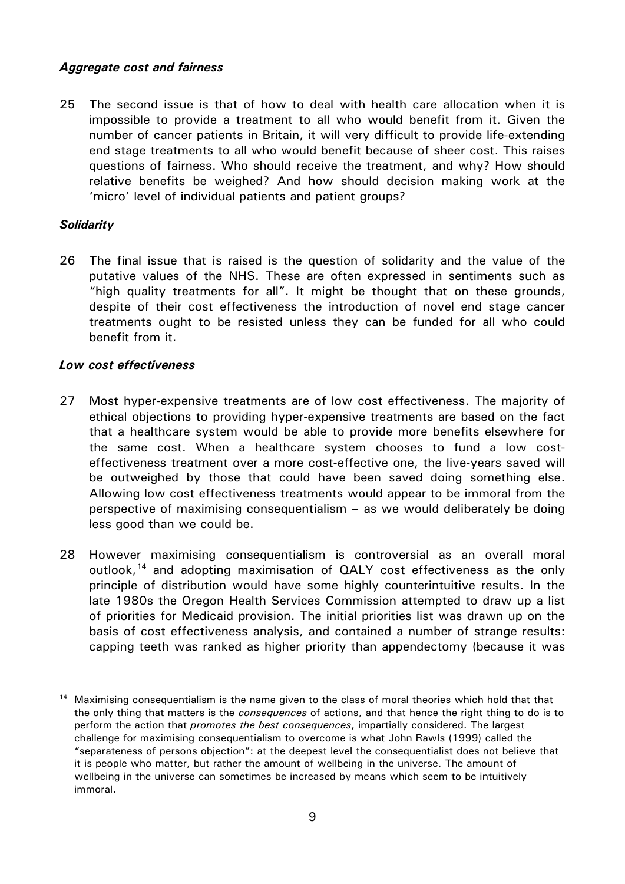#### *Aggregate cost and fairness*

25 The second issue is that of how to deal with health care allocation when it is impossible to provide a treatment to all who would benefit from it. Given the number of cancer patients in Britain, it will very difficult to provide life-extending end stage treatments to all who would benefit because of sheer cost. This raises questions of fairness. Who should receive the treatment, and why? How should relative benefits be weighed? And how should decision making work at the 'micro' level of individual patients and patient groups?

#### *Solidarity*

26 The final issue that is raised is the question of solidarity and the value of the putative values of the NHS. These are often expressed in sentiments such as "high quality treatments for all". It might be thought that on these grounds, despite of their cost effectiveness the introduction of novel end stage cancer treatments ought to be resisted unless they can be funded for all who could benefit from it.

#### *Low cost effectiveness*

- 27 Most hyper-expensive treatments are of low cost effectiveness. The majority of ethical objections to providing hyper-expensive treatments are based on the fact that a healthcare system would be able to provide more benefits elsewhere for the same cost. When a healthcare system chooses to fund a low costeffectiveness treatment over a more cost-effective one, the live-years saved will be outweighed by those that could have been saved doing something else. Allowing low cost effectiveness treatments would appear to be immoral from the perspective of maximising consequentialism – as we would deliberately be doing less good than we could be.
- 28 However maximising consequentialism is controversial as an overall moral outlook,<sup>[14](#page-8-0)</sup> and adopting maximisation of QALY cost effectiveness as the only principle of distribution would have some highly counterintuitive results. In the late 1980s the Oregon Health Services Commission attempted to draw up a list of priorities for Medicaid provision. The initial priorities list was drawn up on the basis of cost effectiveness analysis, and contained a number of strange results: capping teeth was ranked as higher priority than appendectomy (because it was

<span id="page-8-0"></span><sup>-</sup><sup>14</sup> Maximising consequentialism is the name given to the class of moral theories which hold that that the only thing that matters is the *consequences* of actions, and that hence the right thing to do is to perform the action that *promotes the best consequences*, impartially considered. The largest challenge for maximising consequentialism to overcome is what John Rawls (1999) called the "separateness of persons objection": at the deepest level the consequentialist does not believe that it is people who matter, but rather the amount of wellbeing in the universe. The amount of wellbeing in the universe can sometimes be increased by means which seem to be intuitively immoral.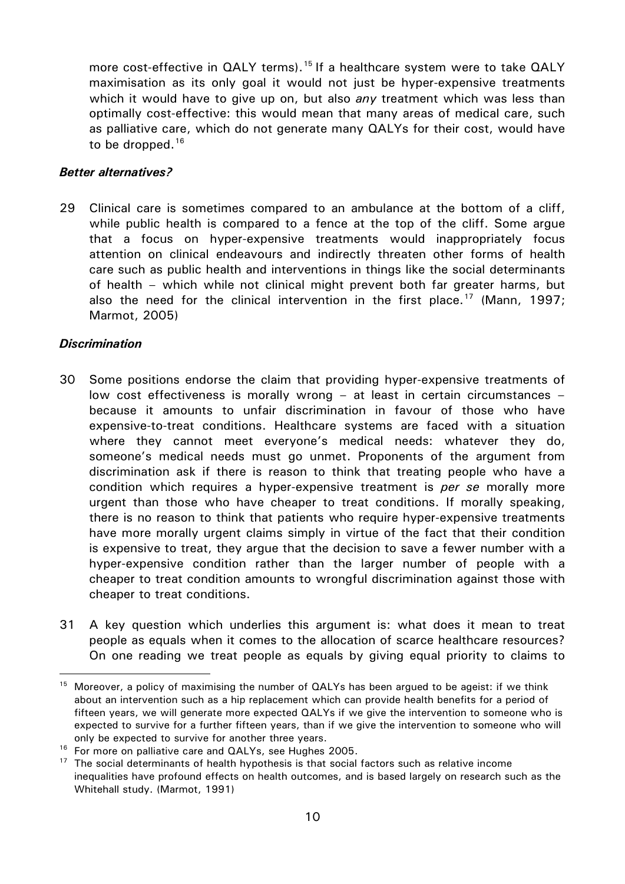more cost-effective in QALY terms).<sup>[15](#page-9-0)</sup> If a healthcare system were to take QALY maximisation as its only goal it would not just be hyper-expensive treatments which it would have to give up on, but also *any* treatment which was less than optimally cost-effective: this would mean that many areas of medical care, such as palliative care, which do not generate many QALYs for their cost, would have to be dropped. $16$ 

#### *Better alternatives?*

29 Clinical care is sometimes compared to an ambulance at the bottom of a cliff, while public health is compared to a fence at the top of the cliff. Some argue that a focus on hyper-expensive treatments would inappropriately focus attention on clinical endeavours and indirectly threaten other forms of health care such as public health and interventions in things like the social determinants of health – which while not clinical might prevent both far greater harms, but also the need for the clinical intervention in the first place.<sup>[17](#page-9-2)</sup> (Mann, 1997; Marmot, 2005)

#### *Discrimination*

<u>.</u>

- 30 Some positions endorse the claim that providing hyper-expensive treatments of low cost effectiveness is morally wrong – at least in certain circumstances – because it amounts to unfair discrimination in favour of those who have expensive-to-treat conditions. Healthcare systems are faced with a situation where they cannot meet everyone's medical needs: whatever they do, someone's medical needs must go unmet. Proponents of the argument from discrimination ask if there is reason to think that treating people who have a condition which requires a hyper-expensive treatment is *per se* morally more urgent than those who have cheaper to treat conditions. If morally speaking, there is no reason to think that patients who require hyper-expensive treatments have more morally urgent claims simply in virtue of the fact that their condition is expensive to treat, they argue that the decision to save a fewer number with a hyper-expensive condition rather than the larger number of people with a cheaper to treat condition amounts to wrongful discrimination against those with cheaper to treat conditions.
- 31 A key question which underlies this argument is: what does it mean to treat people as equals when it comes to the allocation of scarce healthcare resources? On one reading we treat people as equals by giving equal priority to claims to

<span id="page-9-0"></span><sup>&</sup>lt;sup>15</sup> Moreover, a policy of maximising the number of  $QALYs$  has been argued to be ageist: if we think about an intervention such as a hip replacement which can provide health benefits for a period of fifteen years, we will generate more expected QALYs if we give the intervention to someone who is expected to survive for a further fifteen years, than if we give the intervention to someone who will only be expected to survive for another three years.

<span id="page-9-1"></span><sup>&</sup>lt;sup>16</sup> For more on palliative care and QALYs, see Hughes 2005.

<span id="page-9-2"></span> $17$  The social determinants of health hypothesis is that social factors such as relative income inequalities have profound effects on health outcomes, and is based largely on research such as the Whitehall study. (Marmot, 1991)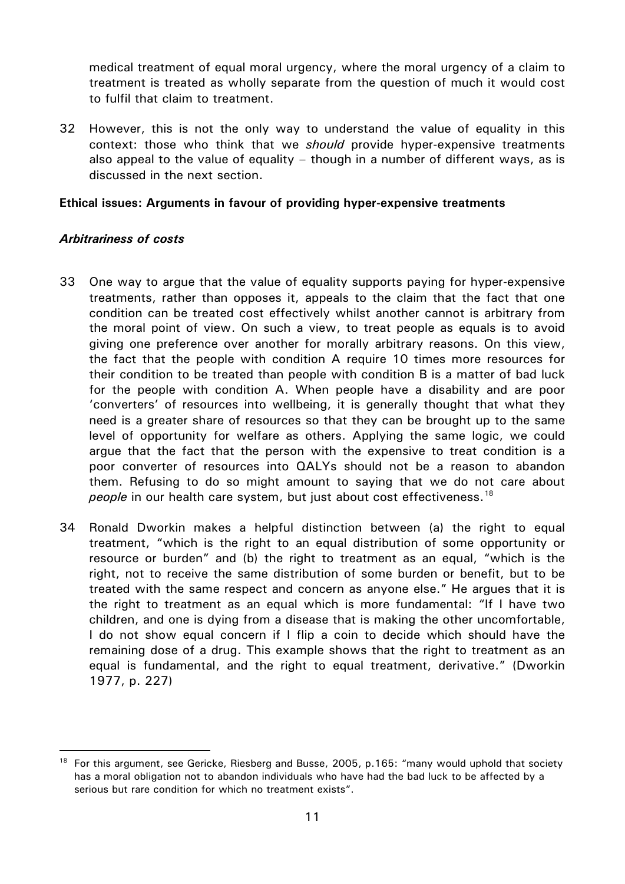medical treatment of equal moral urgency, where the moral urgency of a claim to treatment is treated as wholly separate from the question of much it would cost to fulfil that claim to treatment.

32 However, this is not the only way to understand the value of equality in this context: those who think that we *should* provide hyper-expensive treatments also appeal to the value of equality – though in a number of different ways, as is discussed in the next section.

#### **Ethical issues: Arguments in favour of providing hyper-expensive treatments**

#### *Arbitrariness of costs*

-

- 33 One way to argue that the value of equality supports paying for hyper-expensive treatments, rather than opposes it, appeals to the claim that the fact that one condition can be treated cost effectively whilst another cannot is arbitrary from the moral point of view. On such a view, to treat people as equals is to avoid giving one preference over another for morally arbitrary reasons. On this view, the fact that the people with condition A require 10 times more resources for their condition to be treated than people with condition B is a matter of bad luck for the people with condition A. When people have a disability and are poor 'converters' of resources into wellbeing, it is generally thought that what they need is a greater share of resources so that they can be brought up to the same level of opportunity for welfare as others. Applying the same logic, we could argue that the fact that the person with the expensive to treat condition is a poor converter of resources into QALYs should not be a reason to abandon them. Refusing to do so might amount to saying that we do not care about *people* in our health care system, but just about cost effectiveness.<sup>[18](#page-10-0)</sup>
- 34 Ronald Dworkin makes a helpful distinction between (a) the right to equal treatment, "which is the right to an equal distribution of some opportunity or resource or burden" and (b) the right to treatment as an equal, "which is the right, not to receive the same distribution of some burden or benefit, but to be treated with the same respect and concern as anyone else." He argues that it is the right to treatment as an equal which is more fundamental: "If I have two children, and one is dying from a disease that is making the other uncomfortable, I do not show equal concern if I flip a coin to decide which should have the remaining dose of a drug. This example shows that the right to treatment as an equal is fundamental, and the right to equal treatment, derivative." (Dworkin 1977, p. 227)

<span id="page-10-0"></span><sup>18</sup> For this argument, see Gericke, Riesberg and Busse, 2005, p.165: "many would uphold that society has a moral obligation not to abandon individuals who have had the bad luck to be affected by a serious but rare condition for which no treatment exists".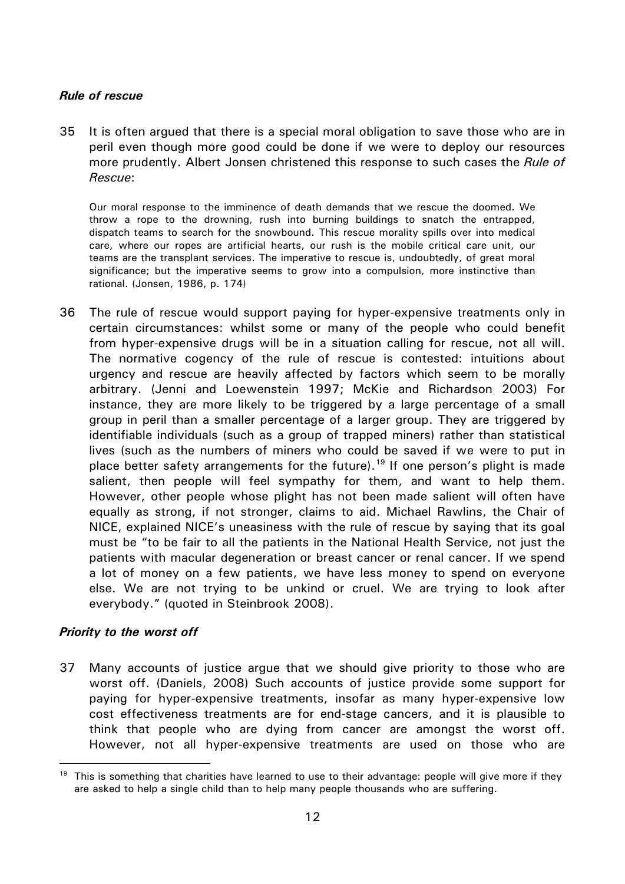#### *Rule of rescue*

35 It is often argued that there is a special moral obligation to save those who are in peril even though more good could be done if we were to deploy our resources more prudently. Albert Jonsen christened this response to such cases the *Rule of Rescue*:

Our moral response to the imminence of death demands that we rescue the doomed. We throw a rope to the drowning, rush into burning buildings to snatch the entrapped, dispatch teams to search for the snowbound. This rescue morality spills over into medical care, where our ropes are artificial hearts, our rush is the mobile critical care unit, our teams are the transplant services. The imperative to rescue is, undoubtedly, of great moral significance; but the imperative seems to grow into a compulsion, more instinctive than rational. (Jonsen, 1986, p. 174)

36 The rule of rescue would support paying for hyper-expensive treatments only in certain circumstances: whilst some or many of the people who could benefit from hyper-expensive drugs will be in a situation calling for rescue, not all will. The normative cogency of the rule of rescue is contested: intuitions about urgency and rescue are heavily affected by factors which seem to be morally arbitrary. (Jenni and Loewenstein 1997; McKie and Richardson 2003) For instance, they are more likely to be triggered by a large percentage of a small group in peril than a smaller percentage of a larger group. They are triggered by identifiable individuals (such as a group of trapped miners) rather than statistical lives (such as the numbers of miners who could be saved if we were to put in place better safety arrangements for the future).<sup>[19](#page-11-0)</sup> If one person's plight is made salient, then people will feel sympathy for them, and want to help them. However, other people whose plight has not been made salient will often have equally as strong, if not stronger, claims to aid. Michael Rawlins, the Chair of NICE, explained NICE's uneasiness with the rule of rescue by saying that its goal must be "to be fair to all the patients in the National Health Service, not just the patients with macular degeneration or breast cancer or renal cancer. If we spend a lot of money on a few patients, we have less money to spend on everyone else. We are not trying to be unkind or cruel. We are trying to look after everybody." (quoted in Steinbrook 2008).

#### *Priority to the worst off*

<u>.</u>

37 Many accounts of justice argue that we should give priority to those who are worst off. (Daniels, 2008) Such accounts of justice provide some support for paying for hyper-expensive treatments, insofar as many hyper-expensive low cost effectiveness treatments are for end-stage cancers, and it is plausible to think that people who are dying from cancer are amongst the worst off. However, not all hyper-expensive treatments are used on those who are

<span id="page-11-0"></span> $19$  This is something that charities have learned to use to their advantage: people will give more if they are asked to help a single child than to help many people thousands who are suffering.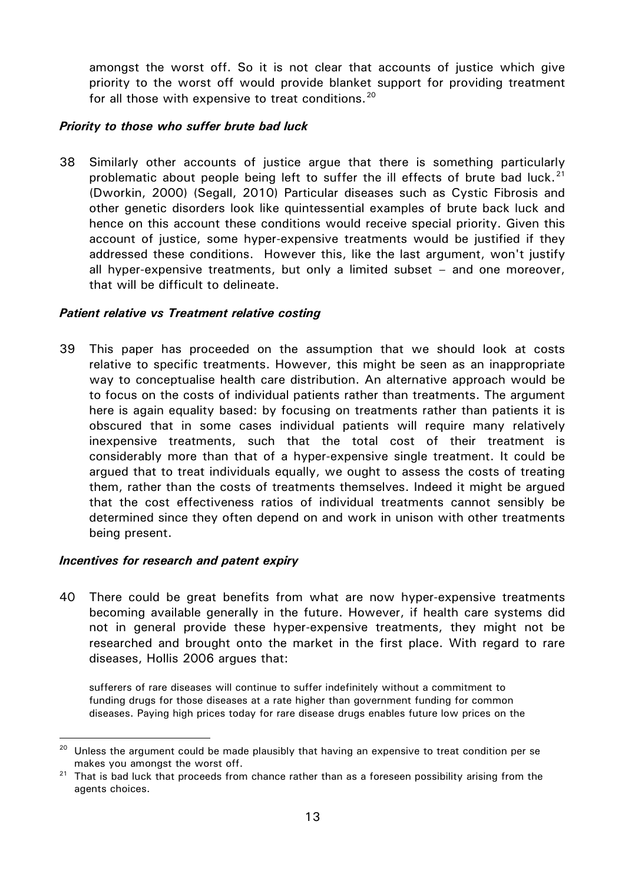amongst the worst off. So it is not clear that accounts of justice which give priority to the worst off would provide blanket support for providing treatment for all those with expensive to treat conditions.<sup>[20](#page-12-0)</sup>

#### *Priority to those who suffer brute bad luck*

38 Similarly other accounts of justice argue that there is something particularly problematic about people being left to suffer the ill effects of brute bad luck.<sup>[21](#page-12-1)</sup> (Dworkin, 2000) (Segall, 2010) Particular diseases such as Cystic Fibrosis and other genetic disorders look like quintessential examples of brute back luck and hence on this account these conditions would receive special priority. Given this account of justice, some hyper-expensive treatments would be justified if they addressed these conditions. However this, like the last argument, won't justify all hyper-expensive treatments, but only a limited subset – and one moreover, that will be difficult to delineate.

#### *Patient relative vs Treatment relative costing*

39 This paper has proceeded on the assumption that we should look at costs relative to specific treatments. However, this might be seen as an inappropriate way to conceptualise health care distribution. An alternative approach would be to focus on the costs of individual patients rather than treatments. The argument here is again equality based: by focusing on treatments rather than patients it is obscured that in some cases individual patients will require many relatively inexpensive treatments, such that the total cost of their treatment is considerably more than that of a hyper-expensive single treatment. It could be argued that to treat individuals equally, we ought to assess the costs of treating them, rather than the costs of treatments themselves. Indeed it might be argued that the cost effectiveness ratios of individual treatments cannot sensibly be determined since they often depend on and work in unison with other treatments being present.

#### *Incentives for research and patent expiry*

<u>.</u>

40 There could be great benefits from what are now hyper-expensive treatments becoming available generally in the future. However, if health care systems did not in general provide these hyper-expensive treatments, they might not be researched and brought onto the market in the first place. With regard to rare diseases, Hollis 2006 argues that:

sufferers of rare diseases will continue to suffer indefinitely without a commitment to funding drugs for those diseases at a rate higher than government funding for common diseases. Paying high prices today for rare disease drugs enables future low prices on the

<span id="page-12-0"></span><sup>&</sup>lt;sup>20</sup> Unless the argument could be made plausibly that having an expensive to treat condition per se makes you amongst the worst off.

<span id="page-12-1"></span> $21$  That is bad luck that proceeds from chance rather than as a foreseen possibility arising from the agents choices.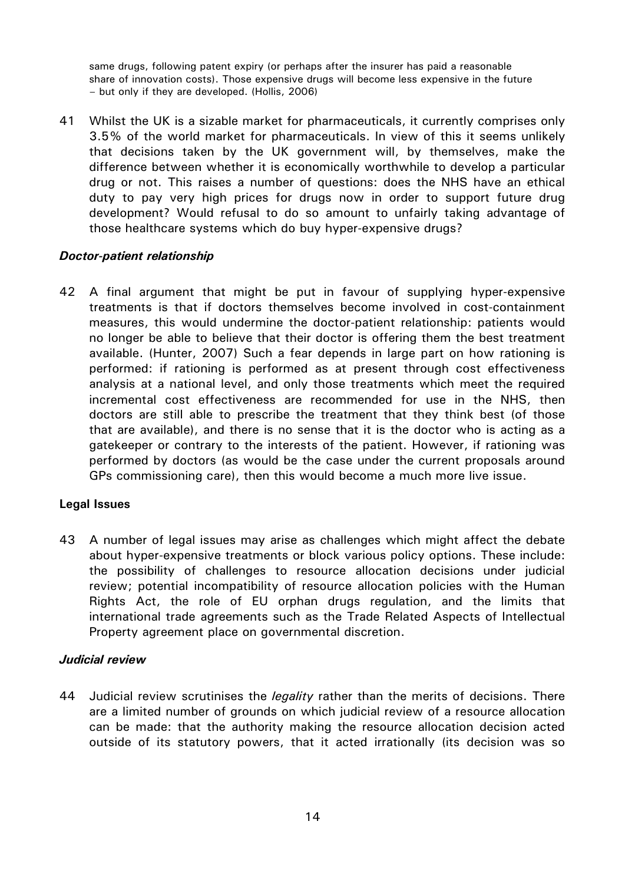same drugs, following patent expiry (or perhaps after the insurer has paid a reasonable share of innovation costs). Those expensive drugs will become less expensive in the future – but only if they are developed. (Hollis, 2006)

41 Whilst the UK is a sizable market for pharmaceuticals, it currently comprises only 3.5% of the world market for pharmaceuticals. In view of this it seems unlikely that decisions taken by the UK government will, by themselves, make the difference between whether it is economically worthwhile to develop a particular drug or not. This raises a number of questions: does the NHS have an ethical duty to pay very high prices for drugs now in order to support future drug development? Would refusal to do so amount to unfairly taking advantage of those healthcare systems which do buy hyper-expensive drugs?

#### *Doctor-patient relationship*

42 A final argument that might be put in favour of supplying hyper-expensive treatments is that if doctors themselves become involved in cost-containment measures, this would undermine the doctor-patient relationship: patients would no longer be able to believe that their doctor is offering them the best treatment available. (Hunter, 2007) Such a fear depends in large part on how rationing is performed: if rationing is performed as at present through cost effectiveness analysis at a national level, and only those treatments which meet the required incremental cost effectiveness are recommended for use in the NHS, then doctors are still able to prescribe the treatment that they think best (of those that are available), and there is no sense that it is the doctor who is acting as a gatekeeper or contrary to the interests of the patient. However, if rationing was performed by doctors (as would be the case under the current proposals around GPs commissioning care), then this would become a much more live issue.

#### **Legal Issues**

43 A number of legal issues may arise as challenges which might affect the debate about hyper-expensive treatments or block various policy options. These include: the possibility of challenges to resource allocation decisions under judicial review; potential incompatibility of resource allocation policies with the Human Rights Act, the role of EU orphan drugs regulation, and the limits that international trade agreements such as the Trade Related Aspects of Intellectual Property agreement place on governmental discretion.

#### *Judicial review*

44 Judicial review scrutinises the *legality* rather than the merits of decisions. There are a limited number of grounds on which judicial review of a resource allocation can be made: that the authority making the resource allocation decision acted outside of its statutory powers, that it acted irrationally (its decision was so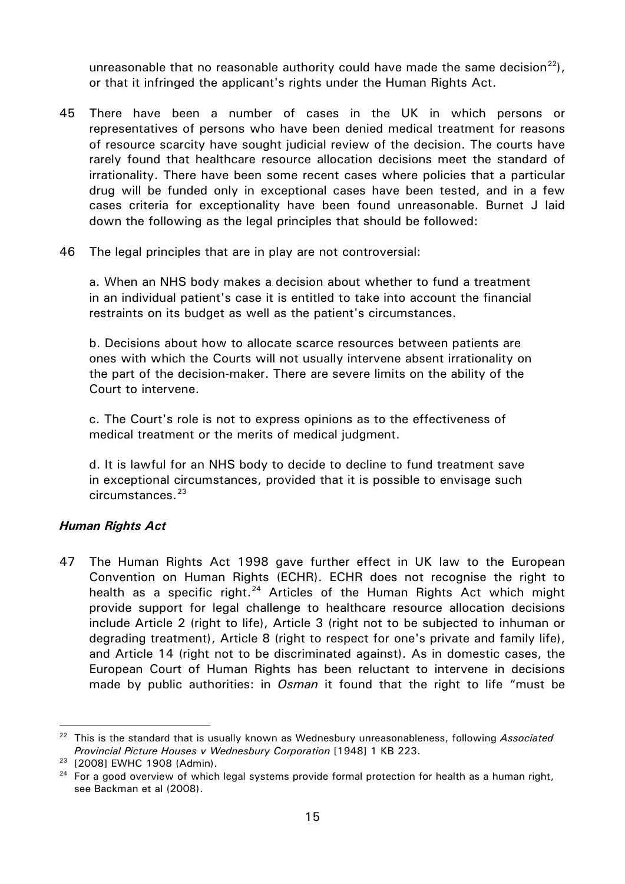unreasonable that no reasonable authority could have made the same decision<sup>[22](#page-14-0)</sup>), or that it infringed the applicant's rights under the Human Rights Act.

- 45 There have been a number of cases in the UK in which persons or representatives of persons who have been denied medical treatment for reasons of resource scarcity have sought judicial review of the decision. The courts have rarely found that healthcare resource allocation decisions meet the standard of irrationality. There have been some recent cases where policies that a particular drug will be funded only in exceptional cases have been tested, and in a few cases criteria for exceptionality have been found unreasonable. Burnet J laid down the following as the legal principles that should be followed:
- 46 The legal principles that are in play are not controversial:

a. When an NHS body makes a decision about whether to fund a treatment in an individual patient's case it is entitled to take into account the financial restraints on its budget as well as the patient's circumstances.

b. Decisions about how to allocate scarce resources between patients are ones with which the Courts will not usually intervene absent irrationality on the part of the decision-maker. There are severe limits on the ability of the Court to intervene.

c. The Court's role is not to express opinions as to the effectiveness of medical treatment or the merits of medical judgment.

d. It is lawful for an NHS body to decide to decline to fund treatment save in exceptional circumstances, provided that it is possible to envisage such circumstances.<sup>[23](#page-14-1)</sup>

# *Human Rights Act*

47 The Human Rights Act 1998 gave further effect in UK law to the European Convention on Human Rights (ECHR). ECHR does not recognise the right to health as a specific right.<sup>[24](#page-14-2)</sup> Articles of the Human Rights Act which might provide support for legal challenge to healthcare resource allocation decisions include Article 2 (right to life), Article 3 (right not to be subjected to inhuman or degrading treatment), Article 8 (right to respect for one's private and family life), and Article 14 (right not to be discriminated against). As in domestic cases, the European Court of Human Rights has been reluctant to intervene in decisions made by public authorities: in *Osman* it found that the right to life "must be

-

<span id="page-14-0"></span><sup>22</sup> This is the standard that is usually known as Wednesbury unreasonableness, following *Associated Provincial Picture Houses v Wednesbury Corporation* [1948] 1 KB 223.

<span id="page-14-1"></span><sup>23</sup> [2008] EWHC 1908 (Admin).

<span id="page-14-2"></span><sup>&</sup>lt;sup>24</sup> For a good overview of which legal systems provide formal protection for health as a human right, see Backman et al (2008).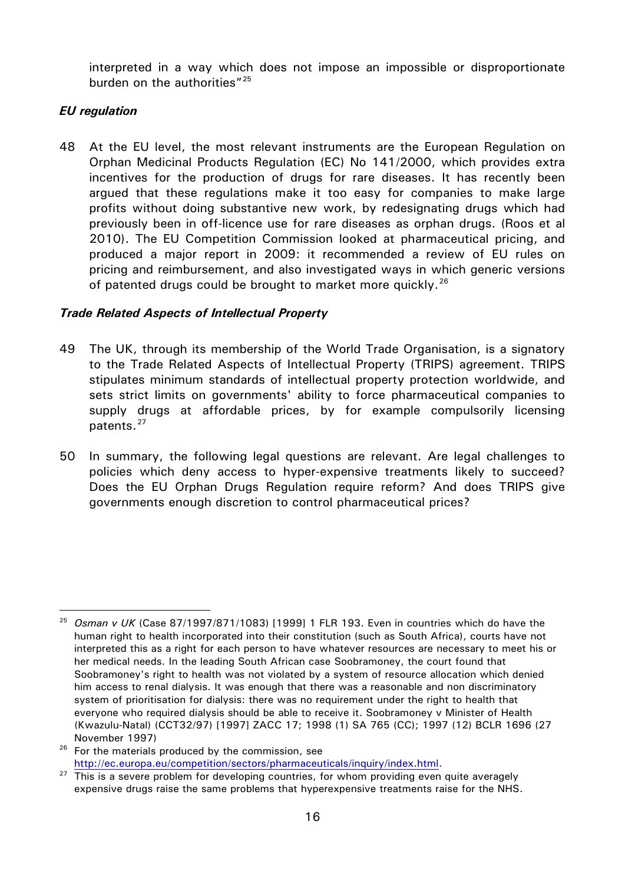interpreted in a way which does not impose an impossible or disproportionate burden on the authorities"<sup>[25](#page-15-0)</sup>

## *EU regulation*

-

48 At the EU level, the most relevant instruments are the European Regulation on Orphan Medicinal Products Regulation (EC) No 141/2000, which provides extra incentives for the production of drugs for rare diseases. It has recently been argued that these regulations make it too easy for companies to make large profits without doing substantive new work, by redesignating drugs which had previously been in off-licence use for rare diseases as orphan drugs. (Roos et al 2010). The EU Competition Commission looked at pharmaceutical pricing, and produced a major report in 2009: it recommended a review of EU rules on pricing and reimbursement, and also investigated ways in which generic versions of patented drugs could be brought to market more quickly.<sup>[26](#page-15-1)</sup>

#### *Trade Related Aspects of Intellectual Property*

- 49 The UK, through its membership of the World Trade Organisation, is a signatory to the Trade Related Aspects of Intellectual Property (TRIPS) agreement. TRIPS stipulates minimum standards of intellectual property protection worldwide, and sets strict limits on governments' ability to force pharmaceutical companies to supply drugs at affordable prices, by for example compulsorily licensing patents.<sup>[27](#page-15-2)</sup>
- 50 In summary, the following legal questions are relevant. Are legal challenges to policies which deny access to hyper-expensive treatments likely to succeed? Does the EU Orphan Drugs Regulation require reform? And does TRIPS give governments enough discretion to control pharmaceutical prices?

<span id="page-15-0"></span><sup>25</sup> *Osman v UK* (Case 87/1997/871/1083) [1999] 1 FLR 193. Even in countries which do have the human right to health incorporated into their constitution (such as South Africa), courts have not interpreted this as a right for each person to have whatever resources are necessary to meet his or her medical needs. In the leading South African case Soobramoney, the court found that Soobramoney's right to health was not violated by a system of resource allocation which denied him access to renal dialysis. It was enough that there was a reasonable and non discriminatory system of prioritisation for dialysis: there was no requirement under the right to health that everyone who required dialysis should be able to receive it. Soobramoney v Minister of Health (Kwazulu-Natal) (CCT32/97) [1997] ZACC 17; 1998 (1) SA 765 (CC); 1997 (12) BCLR 1696 (27

<span id="page-15-1"></span>November 1997)<br><sup>26</sup> For the materials produced by the commission, see

<span id="page-15-2"></span>[http://ec.europa.eu/competition/sectors/pharmaceuticals/inquiry/index.html.](http://ec.europa.eu/competition/sectors/pharmaceuticals/inquiry/index.html)<br><sup>27</sup> This is a severe problem for developing countries, for whom providing even quite averagely expensive drugs raise the same problems that hyperexpensive treatments raise for the NHS.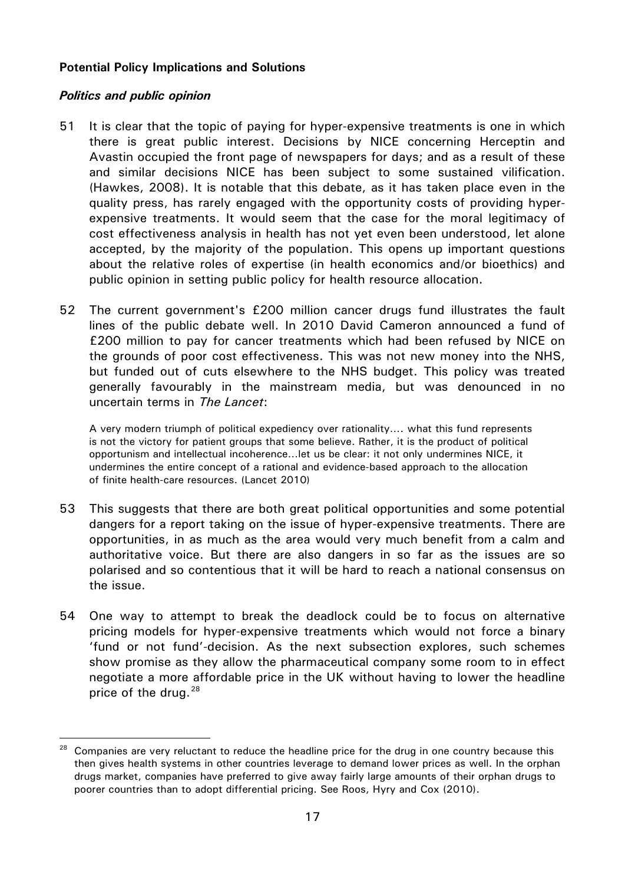#### **Potential Policy Implications and Solutions**

#### *Politics and public opinion*

<u>.</u>

- 51 It is clear that the topic of paying for hyper-expensive treatments is one in which there is great public interest. Decisions by NICE concerning Herceptin and Avastin occupied the front page of newspapers for days; and as a result of these and similar decisions NICE has been subject to some sustained vilification. (Hawkes, 2008). It is notable that this debate, as it has taken place even in the quality press, has rarely engaged with the opportunity costs of providing hyperexpensive treatments. It would seem that the case for the moral legitimacy of cost effectiveness analysis in health has not yet even been understood, let alone accepted, by the majority of the population. This opens up important questions about the relative roles of expertise (in health economics and/or bioethics) and public opinion in setting public policy for health resource allocation.
- 52 The current government's £200 million cancer drugs fund illustrates the fault lines of the public debate well. In 2010 David Cameron announced a fund of £200 million to pay for cancer treatments which had been refused by NICE on the grounds of poor cost effectiveness. This was not new money into the NHS, but funded out of cuts elsewhere to the NHS budget. This policy was treated generally favourably in the mainstream media, but was denounced in no uncertain terms in *The Lancet*:

A very modern triumph of political expediency over rationality…. what this fund represents is not the victory for patient groups that some believe. Rather, it is the product of political opportunism and intellectual incoherence…let us be clear: it not only undermines NICE, it undermines the entire concept of a rational and evidence-based approach to the allocation of finite health-care resources. (Lancet 2010)

- 53 This suggests that there are both great political opportunities and some potential dangers for a report taking on the issue of hyper-expensive treatments. There are opportunities, in as much as the area would very much benefit from a calm and authoritative voice. But there are also dangers in so far as the issues are so polarised and so contentious that it will be hard to reach a national consensus on the issue.
- 54 One way to attempt to break the deadlock could be to focus on alternative pricing models for hyper-expensive treatments which would not force a binary 'fund or not fund'-decision. As the next subsection explores, such schemes show promise as they allow the pharmaceutical company some room to in effect negotiate a more affordable price in the UK without having to lower the headline price of the drug.  $28$

<span id="page-16-0"></span><sup>&</sup>lt;sup>28</sup> Companies are very reluctant to reduce the headline price for the drug in one country because this then gives health systems in other countries leverage to demand lower prices as well. In the orphan drugs market, companies have preferred to give away fairly large amounts of their orphan drugs to poorer countries than to adopt differential pricing. See Roos, Hyry and Cox (2010).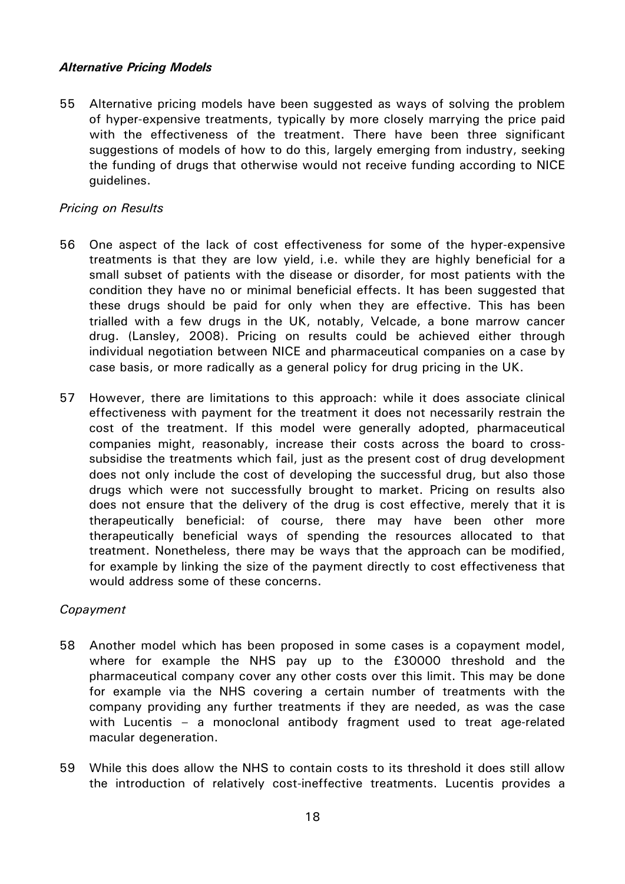#### *Alternative Pricing Models*

55 Alternative pricing models have been suggested as ways of solving the problem of hyper-expensive treatments, typically by more closely marrying the price paid with the effectiveness of the treatment. There have been three significant suggestions of models of how to do this, largely emerging from industry, seeking the funding of drugs that otherwise would not receive funding according to NICE guidelines.

#### *Pricing on Results*

- 56 One aspect of the lack of cost effectiveness for some of the hyper-expensive treatments is that they are low yield, i.e. while they are highly beneficial for a small subset of patients with the disease or disorder, for most patients with the condition they have no or minimal beneficial effects. It has been suggested that these drugs should be paid for only when they are effective. This has been trialled with a few drugs in the UK, notably, Velcade, a bone marrow cancer drug. (Lansley, 2008). Pricing on results could be achieved either through individual negotiation between NICE and pharmaceutical companies on a case by case basis, or more radically as a general policy for drug pricing in the UK.
- 57 However, there are limitations to this approach: while it does associate clinical effectiveness with payment for the treatment it does not necessarily restrain the cost of the treatment. If this model were generally adopted, pharmaceutical companies might, reasonably, increase their costs across the board to crosssubsidise the treatments which fail, just as the present cost of drug development does not only include the cost of developing the successful drug, but also those drugs which were not successfully brought to market. Pricing on results also does not ensure that the delivery of the drug is cost effective, merely that it is therapeutically beneficial: of course, there may have been other more therapeutically beneficial ways of spending the resources allocated to that treatment. Nonetheless, there may be ways that the approach can be modified, for example by linking the size of the payment directly to cost effectiveness that would address some of these concerns.

#### *Copayment*

- 58 Another model which has been proposed in some cases is a copayment model, where for example the NHS pay up to the £30000 threshold and the pharmaceutical company cover any other costs over this limit. This may be done for example via the NHS covering a certain number of treatments with the company providing any further treatments if they are needed, as was the case with Lucentis – a monoclonal antibody fragment used to treat age-related macular degeneration.
- 59 While this does allow the NHS to contain costs to its threshold it does still allow the introduction of relatively cost-ineffective treatments. Lucentis provides a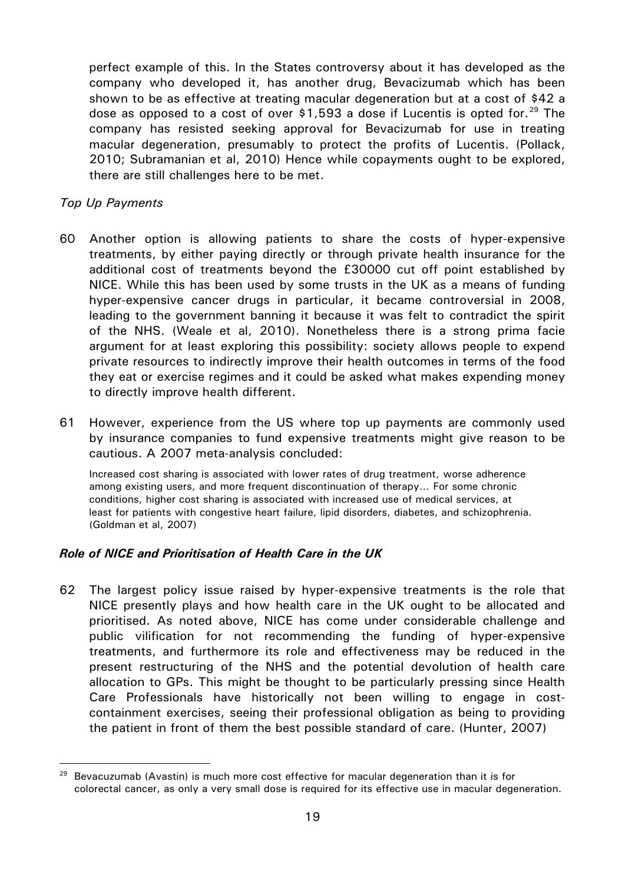perfect example of this. In the States controversy about it has developed as the company who developed it, has another drug, Bevacizumab which has been shown to be as effective at treating macular degeneration but at a cost of \$42 a dose as opposed to a cost of over \$1,593 a dose if Lucentis is opted for.<sup>[29](#page-18-0)</sup> The company has resisted seeking approval for Bevacizumab for use in treating macular degeneration, presumably to protect the profits of Lucentis. (Pollack, 2010; Subramanian et al, 2010) Hence while copayments ought to be explored, there are still challenges here to be met.

#### *Top Up Payments*

<u>.</u>

- 60 Another option is allowing patients to share the costs of hyper-expensive treatments, by either paying directly or through private health insurance for the additional cost of treatments beyond the £30000 cut off point established by NICE. While this has been used by some trusts in the UK as a means of funding hyper-expensive cancer drugs in particular, it became controversial in 2008, leading to the government banning it because it was felt to contradict the spirit of the NHS. (Weale et al, 2010). Nonetheless there is a strong prima facie argument for at least exploring this possibility: society allows people to expend private resources to indirectly improve their health outcomes in terms of the food they eat or exercise regimes and it could be asked what makes expending money to directly improve health different.
- 61 However, experience from the US where top up payments are commonly used by insurance companies to fund expensive treatments might give reason to be cautious. A 2007 meta-analysis concluded:

Increased cost sharing is associated with lower rates of drug treatment, worse adherence among existing users, and more frequent discontinuation of therapy… For some chronic conditions, higher cost sharing is associated with increased use of medical services, at least for patients with congestive heart failure, lipid disorders, diabetes, and schizophrenia. (Goldman et al, 2007)

#### *Role of NICE and Prioritisation of Health Care in the UK*

62 The largest policy issue raised by hyper-expensive treatments is the role that NICE presently plays and how health care in the UK ought to be allocated and prioritised. As noted above, NICE has come under considerable challenge and public vilification for not recommending the funding of hyper-expensive treatments, and furthermore its role and effectiveness may be reduced in the present restructuring of the NHS and the potential devolution of health care allocation to GPs. This might be thought to be particularly pressing since Health Care Professionals have historically not been willing to engage in costcontainment exercises, seeing their professional obligation as being to providing the patient in front of them the best possible standard of care. (Hunter, 2007)

<span id="page-18-0"></span><sup>&</sup>lt;sup>29</sup> Bevacuzumab (Avastin) is much more cost effective for macular degeneration than it is for colorectal cancer, as only a very small dose is required for its effective use in macular degeneration.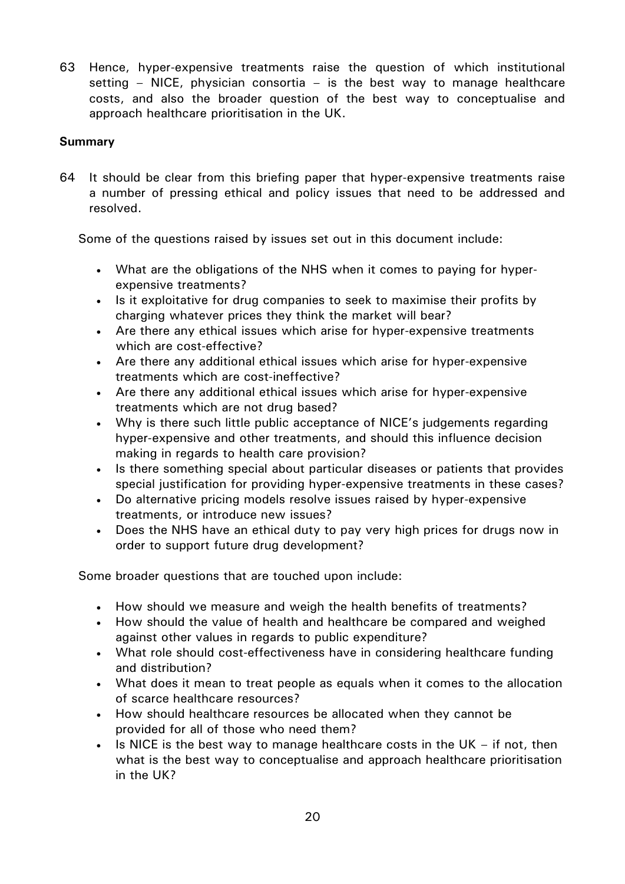63 Hence, hyper-expensive treatments raise the question of which institutional setting – NICE, physician consortia – is the best way to manage healthcare costs, and also the broader question of the best way to conceptualise and approach healthcare prioritisation in the UK.

# **Summary**

64 It should be clear from this briefing paper that hyper-expensive treatments raise a number of pressing ethical and policy issues that need to be addressed and resolved.

Some of the questions raised by issues set out in this document include:

- What are the obligations of the NHS when it comes to paying for hyperexpensive treatments?
- Is it exploitative for drug companies to seek to maximise their profits by charging whatever prices they think the market will bear?
- Are there any ethical issues which arise for hyper-expensive treatments which are cost-effective?
- Are there any additional ethical issues which arise for hyper-expensive treatments which are cost-ineffective?
- Are there any additional ethical issues which arise for hyper-expensive treatments which are not drug based?
- Why is there such little public acceptance of NICE's judgements regarding hyper-expensive and other treatments, and should this influence decision making in regards to health care provision?
- Is there something special about particular diseases or patients that provides special justification for providing hyper-expensive treatments in these cases?
- Do alternative pricing models resolve issues raised by hyper-expensive treatments, or introduce new issues?
- Does the NHS have an ethical duty to pay very high prices for drugs now in order to support future drug development?

Some broader questions that are touched upon include:

- How should we measure and weigh the health benefits of treatments?
- How should the value of health and healthcare be compared and weighed against other values in regards to public expenditure?
- What role should cost-effectiveness have in considering healthcare funding and distribution?
- What does it mean to treat people as equals when it comes to the allocation of scarce healthcare resources?
- How should healthcare resources be allocated when they cannot be provided for all of those who need them?
- Is NICE is the best way to manage healthcare costs in the UK  $-$  if not, then what is the best way to conceptualise and approach healthcare prioritisation in the UK?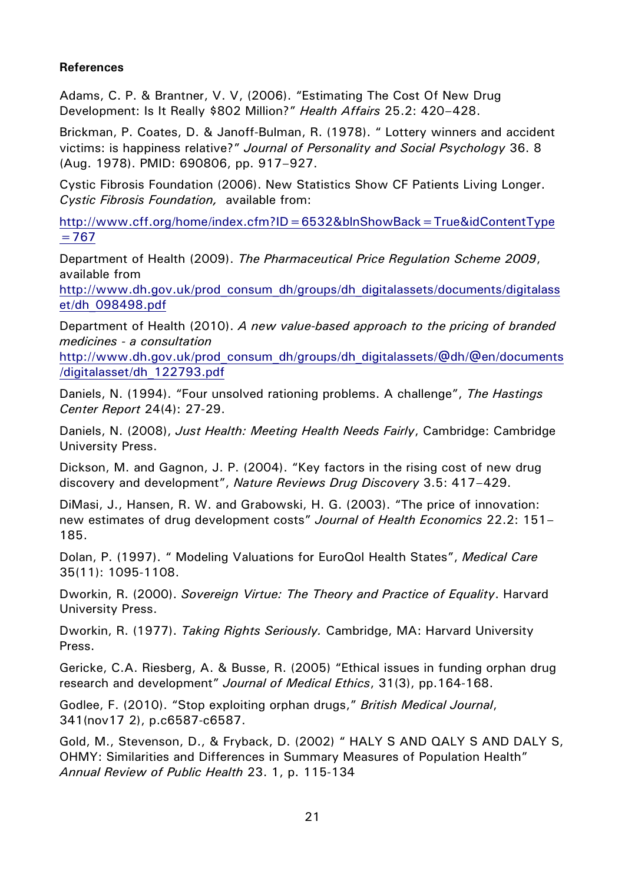# **References**

Adams, C. P. & Brantner, V. V, (2006). "Estimating The Cost Of New Drug Development: Is It Really \$802 Million?" *Health Affairs* 25.2: 420–428.

Brickman, P. Coates, D. & Janoff-Bulman, R. (1978). " Lottery winners and accident victims: is happiness relative?" *Journal of Personality and Social Psychology* 36. 8 (Aug. 1978). PMID: 690806, pp. 917–927.

Cystic Fibrosis Foundation (2006). New Statistics Show CF Patients Living Longer. *Cystic Fibrosis Foundation,* available from:

[http://www.cff.org/home/index.cfm?ID=6532&blnShowBack=True&idContentType](http://www.cff.org/home/index.cfm?ID=6532&blnShowBack=True&idContentType=767)  $=767$ 

Department of Health (2009). *The Pharmaceutical Price Regulation Scheme 2009*, available from

[http://www.dh.gov.uk/prod\\_consum\\_dh/groups/dh\\_digitalassets/documents/digitalass](http://www.dh.gov.uk/prod_consum_dh/groups/dh_digitalassets/documents/digitalasset/dh_098498.pdf) [et/dh\\_098498.pdf](http://www.dh.gov.uk/prod_consum_dh/groups/dh_digitalassets/documents/digitalasset/dh_098498.pdf)

Department of Health (2010). *A new value-based approach to the pricing of branded medicines - a consultation*

[http://www.dh.gov.uk/prod\\_consum\\_dh/groups/dh\\_digitalassets/@dh/@en/documents](http://www.dh.gov.uk/prod_consum_dh/groups/dh_digitalassets/@dh/@en/documents/digitalasset/dh_122793.pdf) [/digitalasset/dh\\_122793.pdf](http://www.dh.gov.uk/prod_consum_dh/groups/dh_digitalassets/@dh/@en/documents/digitalasset/dh_122793.pdf)

Daniels, N. (1994). "Four unsolved rationing problems. A challenge", *The Hastings Center Report* 24(4): 27-29.

Daniels, N. (2008), *Just Health: Meeting Health Needs Fairly*, Cambridge: Cambridge University Press.

Dickson, M. and Gagnon, J. P. (2004). "Key factors in the rising cost of new drug discovery and development", *Nature Reviews Drug Discovery* 3.5: 417–429.

DiMasi, J., Hansen, R. W. and Grabowski, H. G. (2003). "The price of innovation: new estimates of drug development costs" *Journal of Health Economics* 22.2: 151– 185.

Dolan, P. (1997). " Modeling Valuations for EuroQol Health States", *Medical Care* 35(11): 1095-1108.

Dworkin, R. (2000). *Sovereign Virtue: The Theory and Practice of Equality*. Harvard University Press.

Dworkin, R. (1977). *Taking Rights Seriously.* Cambridge, MA: Harvard University Press.

Gericke, C.A. Riesberg, A. & Busse, R. (2005) "Ethical issues in funding orphan drug research and development" *Journal of Medical Ethics*, 31(3), pp.164-168.

Godlee, F. (2010). "Stop exploiting orphan drugs," *British Medical Journal*, 341(nov17 2), p.c6587-c6587.

Gold, M., Stevenson, D., & Fryback, D. (2002) " HALY S AND QALY S AND DALY S, OHMY: Similarities and Differences in Summary Measures of Population Health" *Annual Review of Public Health* 23. 1, p. 115-134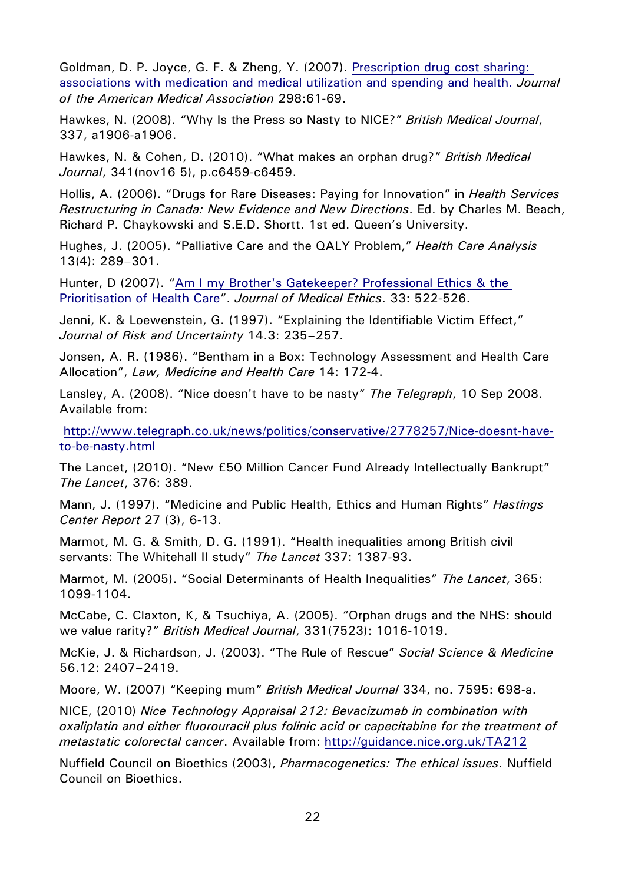Goldman, D. P. Joyce, G. F. & Zheng, Y. (2007). [Prescription drug cost sharing:](http://jama.ama-assn.org/cgi/content/short/298/1/61)  [associations with medication and medical utilization and spending and health.](http://jama.ama-assn.org/cgi/content/short/298/1/61) *Journal of the American Medical Association* 298:61-69.

Hawkes, N. (2008). "Why Is the Press so Nasty to NICE?" *British Medical Journal*, 337, a1906-a1906.

Hawkes, N. & Cohen, D. (2010). "What makes an orphan drug?" *British Medical Journal*, 341(nov16 5), p.c6459-c6459.

Hollis, A. (2006). "Drugs for Rare Diseases: Paying for Innovation" in *Health Services Restructuring in Canada: New Evidence and New Directions*. Ed. by Charles M. Beach, Richard P. Chaykowski and S.E.D. Shortt. 1st ed. Queen's University.

Hughes, J. (2005). "Palliative Care and the QALY Problem," *Health Care Analysis* 13(4): 289–301.

Hunter, D (2007). ["Am I my Brother's Gatekeeper? Professional Ethics & the](http://jme.bmj.com/cgi/content/short/33/9/522?keytype=ref&ijkey=q2dE5JixMyzz2IS)  [Prioritisation of](http://jme.bmj.com/cgi/content/short/33/9/522?keytype=ref&ijkey=q2dE5JixMyzz2IS) Health Care". *Journal of Medical Ethics*. 33: 522-526.

Jenni, K. & Loewenstein, G. (1997). "Explaining the Identifiable Victim Effect," *Journal of Risk and Uncertainty* 14.3: 235–257.

Jonsen, A. R. (1986). "Bentham in a Box: Technology Assessment and Health Care Allocation", *Law, Medicine and Health Care* 14: 172-4.

Lansley, A. (2008). "Nice doesn't have to be nasty" *The Telegraph*, 10 Sep 2008. Available from:

[http://www.telegraph.co.uk/news/politics/conservative/2778257/Nice-doesnt-have](http://www.telegraph.co.uk/news/politics/conservative/2778257/Nice-doesnt-have-to-be-nasty.html)[to-be-nasty.html](http://www.telegraph.co.uk/news/politics/conservative/2778257/Nice-doesnt-have-to-be-nasty.html)

The Lancet, (2010). "New £50 Million Cancer Fund Already Intellectually Bankrupt" *The Lancet*, 376: 389.

Mann, J. (1997). "Medicine and Public Health, Ethics and Human Rights" *Hastings Center Report* 27 (3), 6-13.

Marmot, M. G. & Smith, D. G. (1991). "Health inequalities among British civil servants: The Whitehall II study" *The Lancet* 337: 1387-93.

Marmot, M. (2005). "Social Determinants of Health Inequalities" *The Lancet*, 365: 1099-1104.

McCabe, C. Claxton, K, & Tsuchiya, A. (2005). "Orphan drugs and the NHS: should we value rarity?" *British Medical Journal*, 331(7523): 1016-1019.

McKie, J. & Richardson, J. (2003). "The Rule of Rescue" *Social Science & Medicine*  56.12: 2407–2419.

Moore, W. (2007) "Keeping mum" *British Medical Journal* 334, no. 7595: 698-a.

NICE, (2010) *Nice Technology Appraisal 212: Bevacizumab in combination with oxaliplatin and either fluorouracil plus folinic acid or capecitabine for the treatment of metastatic colorectal cancer*. Available from:<http://guidance.nice.org.uk/TA212>

Nuffield Council on Bioethics (2003), *Pharmacogenetics: The ethical issues*. Nuffield Council on Bioethics.